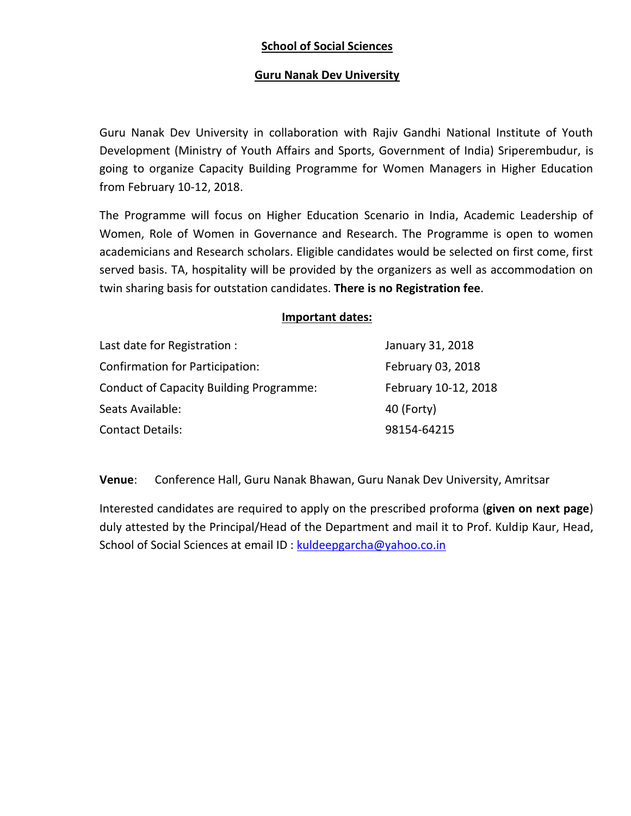## **School of Social Sciences**

## **Guru Nanak Dev University**

Guru Nanak Dev University in collaboration with Rajiv Gandhi National Institute of Youth Development (Ministry of Youth Affairs and Sports, Government of India) Sriperembudur, is going to organize Capacity Building Programme for Women Managers in Higher Education from February 10-12, 2018.

The Programme will focus on Higher Education Scenario in India, Academic Leadership of Women, Role of Women in Governance and Research. The Programme is open to women academicians and Research scholars. Eligible candidates would be selected on first come, first served basis. TA, hospitality will be provided by the organizers as well as accommodation on twin sharing basis for outstation candidates. **There is no Registration fee**.

|                                                | <b>Important dates:</b> |
|------------------------------------------------|-------------------------|
| Last date for Registration :                   | January 31, 2018        |
| Confirmation for Participation:                | February 03, 2018       |
| <b>Conduct of Capacity Building Programme:</b> | February 10-12, 2018    |
| Seats Available:                               | 40 (Forty)              |
| Contact Details:                               | 98154-64215             |

**Venue**: Conference Hall, Guru Nanak Bhawan, Guru Nanak Dev University, Amritsar

Interested candidates are required to apply on the prescribed proforma (**given on next page**) duly attested by the Principal/Hea[d of the Department and ma](mailto:kuldeepgarcha@yahoo.co.in)il it to Prof. Kuldip Kaur, Head, School of Social Sciences at email ID : kuldeepgarcha@yahoo.co.in